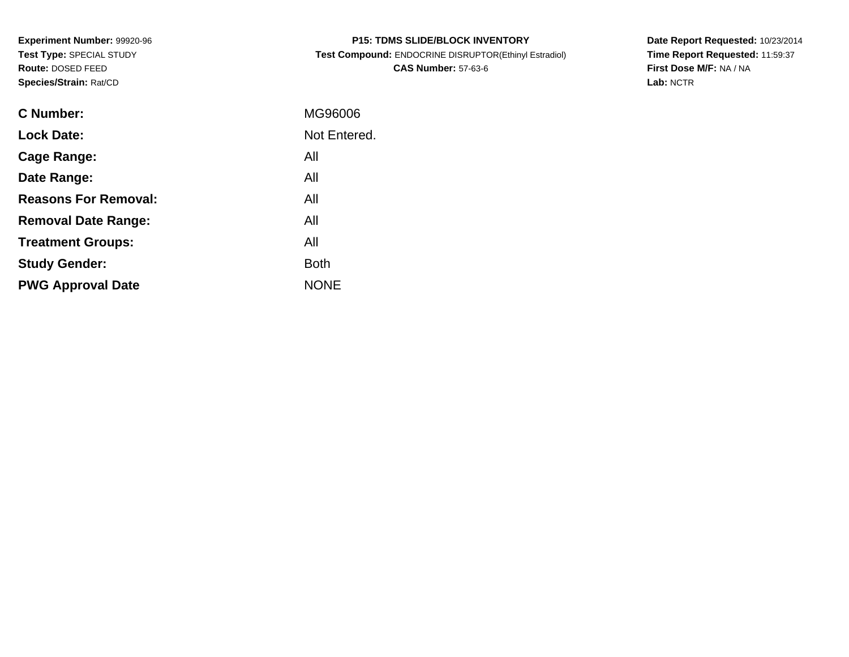**Experiment Number:** 99920-96**Test Type:** SPECIAL STUDY**Route:** DOSED FEED**Species/Strain:** Rat/CD

| <b>P15: TDMS SLIDE/BLOCK INVENTORY</b>                |
|-------------------------------------------------------|
| Test Compound: ENDOCRINE DISRUPTOR(Ethinyl Estradiol) |
| <b>CAS Number: 57-63-6</b>                            |

**Date Report Requested:** 10/23/2014 **Time Report Requested:** 11:59:37**First Dose M/F:** NA / NA**Lab:** NCTR

| C Number:                   | MG96006      |
|-----------------------------|--------------|
| <b>Lock Date:</b>           | Not Entered. |
| Cage Range:                 | All          |
| Date Range:                 | All          |
| <b>Reasons For Removal:</b> | All          |
| <b>Removal Date Range:</b>  | All          |
| <b>Treatment Groups:</b>    | All          |
| <b>Study Gender:</b>        | <b>Both</b>  |
| <b>PWG Approval Date</b>    | <b>NONE</b>  |
|                             |              |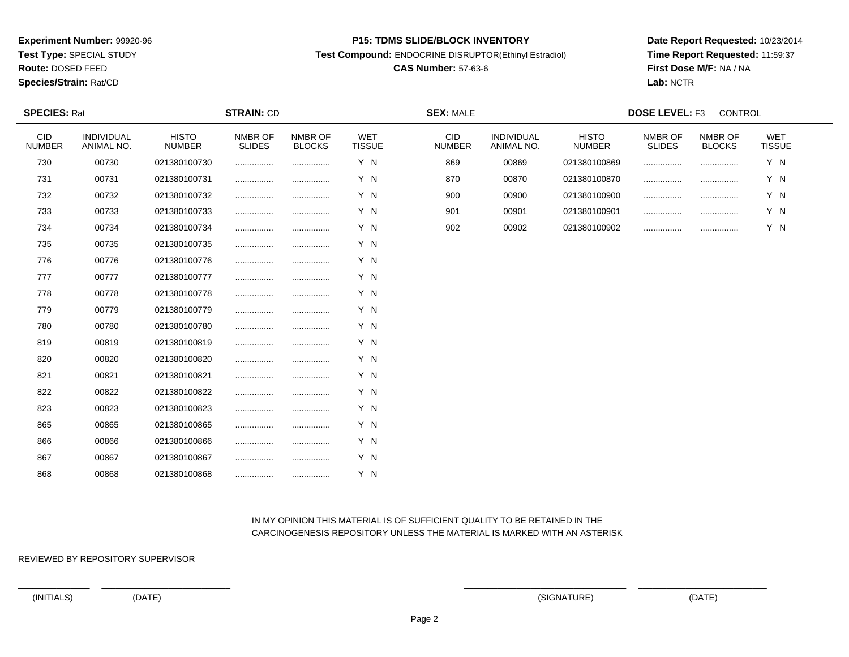**Test Type:** SPECIAL STUDY

**Route:** DOSED FEED

### **Species/Strain:** Rat/CD

### **P15: TDMS SLIDE/BLOCK INVENTORY**

**Test Compound:** ENDOCRINE DISRUPTOR(Ethinyl Estradiol)

# **CAS Number:** 57-63-6

**Date Report Requested:** 10/23/2014**Time Report Requested:** 11:59:37**First Dose M/F:** NA / NA**Lab:** NCTR

| <b>SPECIES: Rat</b>         |                          |                               | <b>STRAIN: CD</b>        |                          |                             | <b>SEX: MALE</b>     |                                 |                               | <b>DOSE LEVEL: F3</b>    | CONTROL                  |                             |  |
|-----------------------------|--------------------------|-------------------------------|--------------------------|--------------------------|-----------------------------|----------------------|---------------------------------|-------------------------------|--------------------------|--------------------------|-----------------------------|--|
| <b>CID</b><br><b>NUMBER</b> | INDIVIDUAL<br>ANIMAL NO. | <b>HISTO</b><br><b>NUMBER</b> | NMBR OF<br><b>SLIDES</b> | NMBR OF<br><b>BLOCKS</b> | <b>WET</b><br><b>TISSUE</b> | CID<br><b>NUMBER</b> | <b>INDIVIDUAL</b><br>ANIMAL NO. | <b>HISTO</b><br><b>NUMBER</b> | NMBR OF<br><b>SLIDES</b> | NMBR OF<br><b>BLOCKS</b> | <b>WET</b><br><b>TISSUE</b> |  |
| 730                         | 00730                    | 021380100730                  |                          |                          | Y N                         | 869                  | 00869                           | 021380100869                  |                          |                          | Y N                         |  |
| 731                         | 00731                    | 021380100731                  |                          |                          | Y N                         | 870                  | 00870                           | 021380100870                  |                          |                          | Y N                         |  |
| 732                         | 00732                    | 021380100732                  |                          |                          | Y N                         | 900                  | 00900                           | 021380100900                  |                          |                          | Y N                         |  |
| 733                         | 00733                    | 021380100733                  |                          |                          | Y N                         | 901                  | 00901                           | 021380100901                  |                          |                          | Y N                         |  |
| 734                         | 00734                    | 021380100734                  |                          |                          | Y N                         | 902                  | 00902                           | 021380100902                  |                          |                          | Y N                         |  |
| 735                         | 00735                    | 021380100735                  |                          |                          | Y N                         |                      |                                 |                               |                          |                          |                             |  |
| 776                         | 00776                    | 021380100776                  |                          |                          | Y N                         |                      |                                 |                               |                          |                          |                             |  |
| 777                         | 00777                    | 021380100777                  |                          |                          | Y N                         |                      |                                 |                               |                          |                          |                             |  |
| 778                         | 00778                    | 021380100778                  |                          | .                        | Y N                         |                      |                                 |                               |                          |                          |                             |  |
| 779                         | 00779                    | 021380100779                  |                          |                          | Y N                         |                      |                                 |                               |                          |                          |                             |  |
| 780                         | 00780                    | 021380100780                  |                          |                          | Y N                         |                      |                                 |                               |                          |                          |                             |  |
| 819                         | 00819                    | 021380100819                  |                          |                          | Y N                         |                      |                                 |                               |                          |                          |                             |  |
| 820                         | 00820                    | 021380100820                  |                          |                          | Y N                         |                      |                                 |                               |                          |                          |                             |  |
| 821                         | 00821                    | 021380100821                  |                          |                          | Y N                         |                      |                                 |                               |                          |                          |                             |  |
| 822                         | 00822                    | 021380100822                  |                          |                          | Y N                         |                      |                                 |                               |                          |                          |                             |  |
| 823                         | 00823                    | 021380100823                  |                          |                          | Y N                         |                      |                                 |                               |                          |                          |                             |  |
| 865                         | 00865                    | 021380100865                  |                          |                          | Y N                         |                      |                                 |                               |                          |                          |                             |  |
| 866                         | 00866                    | 021380100866                  |                          |                          | Y N                         |                      |                                 |                               |                          |                          |                             |  |
| 867                         | 00867                    | 021380100867                  |                          |                          | Y N                         |                      |                                 |                               |                          |                          |                             |  |
| 868                         | 00868                    | 021380100868                  |                          |                          | Y N                         |                      |                                 |                               |                          |                          |                             |  |

## IN MY OPINION THIS MATERIAL IS OF SUFFICIENT QUALITY TO BE RETAINED IN THECARCINOGENESIS REPOSITORY UNLESS THE MATERIAL IS MARKED WITH AN ASTERISK

REVIEWED BY REPOSITORY SUPERVISOR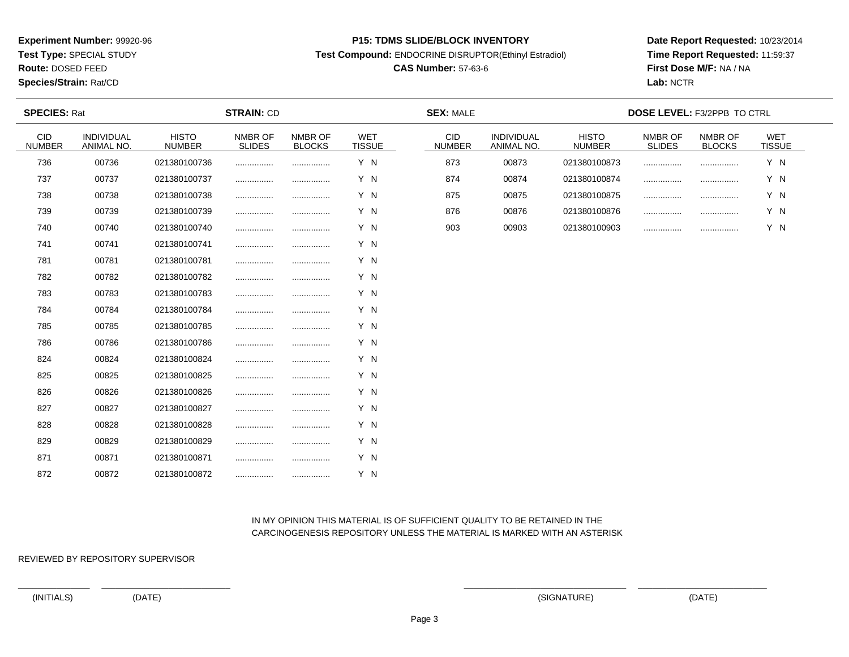**Test Type:** SPECIAL STUDY

**Route:** DOSED FEED

**Species/Strain:** Rat/CD

### **P15: TDMS SLIDE/BLOCK INVENTORY**

**Test Compound:** ENDOCRINE DISRUPTOR(Ethinyl Estradiol)

# **CAS Number:** 57-63-6

**Date Report Requested:** 10/23/2014**Time Report Requested:** 11:59:37**First Dose M/F:** NA / NA**Lab:** NCTR

| <b>SPECIES: Rat</b>         |                          | <b>SEX: MALE</b><br><b>STRAIN: CD</b> |                          |                          |               |                             | DOSE LEVEL: F3/2PPB TO CTRL |                               |                          |                          |               |  |
|-----------------------------|--------------------------|---------------------------------------|--------------------------|--------------------------|---------------|-----------------------------|-----------------------------|-------------------------------|--------------------------|--------------------------|---------------|--|
| <b>CID</b><br><b>NUMBER</b> | INDIVIDUAL<br>ANIMAL NO. | <b>HISTO</b><br><b>NUMBER</b>         | NMBR OF<br><b>SLIDES</b> | NMBR OF<br><b>BLOCKS</b> | WET<br>TISSUE | <b>CID</b><br><b>NUMBER</b> | INDIVIDUAL<br>ANIMAL NO.    | <b>HISTO</b><br><b>NUMBER</b> | NMBR OF<br><b>SLIDES</b> | NMBR OF<br><b>BLOCKS</b> | WET<br>TISSUE |  |
| 736                         | 00736                    | 021380100736                          |                          |                          | Y N           | 873                         | 00873                       | 021380100873                  |                          |                          | Y N           |  |
| 737                         | 00737                    | 021380100737                          |                          |                          | Y N           | 874                         | 00874                       | 021380100874                  |                          |                          | Y N           |  |
| 738                         | 00738                    | 021380100738                          |                          |                          | Y N           | 875                         | 00875                       | 021380100875                  |                          |                          | Y N           |  |
| 739                         | 00739                    | 021380100739                          |                          |                          | Y N           | 876                         | 00876                       | 021380100876                  |                          |                          | Y N           |  |
| 740                         | 00740                    | 021380100740                          |                          |                          | Y N           | 903                         | 00903                       | 021380100903                  |                          |                          | Y N           |  |
| 741                         | 00741                    | 021380100741                          |                          |                          | Y N           |                             |                             |                               |                          |                          |               |  |
| 781                         | 00781                    | 021380100781                          |                          |                          | Y N           |                             |                             |                               |                          |                          |               |  |
| 782                         | 00782                    | 021380100782                          |                          |                          | Y N           |                             |                             |                               |                          |                          |               |  |
| 783                         | 00783                    | 021380100783                          |                          |                          | Y N           |                             |                             |                               |                          |                          |               |  |
| 784                         | 00784                    | 021380100784                          |                          |                          | Y N           |                             |                             |                               |                          |                          |               |  |
| 785                         | 00785                    | 021380100785                          |                          |                          | Y N           |                             |                             |                               |                          |                          |               |  |
| 786                         | 00786                    | 021380100786                          |                          |                          | Y N           |                             |                             |                               |                          |                          |               |  |
| 824                         | 00824                    | 021380100824                          |                          |                          | Y N           |                             |                             |                               |                          |                          |               |  |
| 825                         | 00825                    | 021380100825                          |                          |                          | Y N           |                             |                             |                               |                          |                          |               |  |
| 826                         | 00826                    | 021380100826                          | .                        |                          | Y N           |                             |                             |                               |                          |                          |               |  |
| 827                         | 00827                    | 021380100827                          |                          |                          | Y N           |                             |                             |                               |                          |                          |               |  |
| 828                         | 00828                    | 021380100828                          |                          |                          | Y N           |                             |                             |                               |                          |                          |               |  |
| 829                         | 00829                    | 021380100829                          |                          |                          | Y N           |                             |                             |                               |                          |                          |               |  |
| 871                         | 00871                    | 021380100871                          |                          |                          | Y N           |                             |                             |                               |                          |                          |               |  |
| 872                         | 00872                    | 021380100872                          |                          | .                        | Y N           |                             |                             |                               |                          |                          |               |  |

## IN MY OPINION THIS MATERIAL IS OF SUFFICIENT QUALITY TO BE RETAINED IN THECARCINOGENESIS REPOSITORY UNLESS THE MATERIAL IS MARKED WITH AN ASTERISK

REVIEWED BY REPOSITORY SUPERVISOR

(INITIALS) (DATE) (SIGNATURE) (DATE)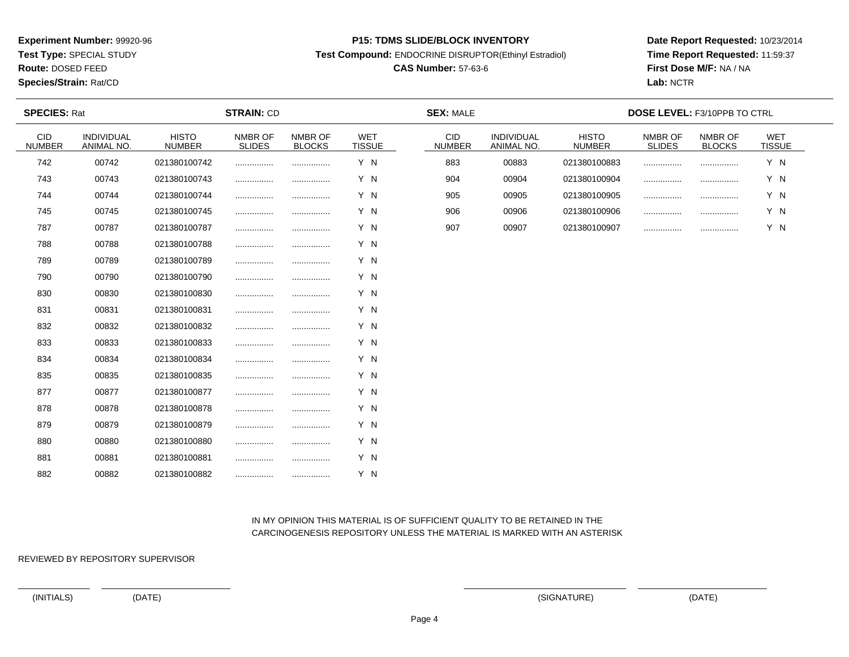**Test Type:** SPECIAL STUDY

**Route:** DOSED FEED

**Species/Strain:** Rat/CD

### **P15: TDMS SLIDE/BLOCK INVENTORY**

**Test Compound:** ENDOCRINE DISRUPTOR(Ethinyl Estradiol)

# **CAS Number:** 57-63-6

**Date Report Requested:** 10/23/2014**Time Report Requested:** 11:59:37**First Dose M/F:** NA / NA**Lab:** NCTR

| <b>SPECIES: Rat</b>         |                          |                               | <b>STRAIN: CD</b>        |                          |                             | <b>SEX: MALE</b>     |                          |                               | <b>DOSE LEVEL: F3/10PPB TO CTRL</b> |                          |                             |  |
|-----------------------------|--------------------------|-------------------------------|--------------------------|--------------------------|-----------------------------|----------------------|--------------------------|-------------------------------|-------------------------------------|--------------------------|-----------------------------|--|
| <b>CID</b><br><b>NUMBER</b> | INDIVIDUAL<br>ANIMAL NO. | <b>HISTO</b><br><b>NUMBER</b> | NMBR OF<br><b>SLIDES</b> | NMBR OF<br><b>BLOCKS</b> | <b>WET</b><br><b>TISSUE</b> | CID<br><b>NUMBER</b> | INDIVIDUAL<br>ANIMAL NO. | <b>HISTO</b><br><b>NUMBER</b> | NMBR OF<br><b>SLIDES</b>            | NMBR OF<br><b>BLOCKS</b> | <b>WET</b><br><b>TISSUE</b> |  |
| 742                         | 00742                    | 021380100742                  |                          |                          | Y N                         | 883                  | 00883                    | 021380100883                  |                                     |                          | Y N                         |  |
| 743                         | 00743                    | 021380100743                  |                          |                          | Y N                         | 904                  | 00904                    | 021380100904                  |                                     |                          | Y N                         |  |
| 744                         | 00744                    | 021380100744                  |                          |                          | Y N                         | 905                  | 00905                    | 021380100905                  |                                     | .                        | Y N                         |  |
| 745                         | 00745                    | 021380100745                  |                          |                          | Y N                         | 906                  | 00906                    | 021380100906                  |                                     |                          | Y N                         |  |
| 787                         | 00787                    | 021380100787                  |                          |                          | Y N                         | 907                  | 00907                    | 021380100907                  |                                     |                          | Y N                         |  |
| 788                         | 00788                    | 021380100788                  |                          |                          | Y N                         |                      |                          |                               |                                     |                          |                             |  |
| 789                         | 00789                    | 021380100789                  |                          |                          | Y N                         |                      |                          |                               |                                     |                          |                             |  |
| 790                         | 00790                    | 021380100790                  |                          |                          | Y N                         |                      |                          |                               |                                     |                          |                             |  |
| 830                         | 00830                    | 021380100830                  |                          |                          | Y N                         |                      |                          |                               |                                     |                          |                             |  |
| 831                         | 00831                    | 021380100831                  |                          |                          | Y N                         |                      |                          |                               |                                     |                          |                             |  |
| 832                         | 00832                    | 021380100832                  |                          |                          | Y N                         |                      |                          |                               |                                     |                          |                             |  |
| 833                         | 00833                    | 021380100833                  |                          |                          | Y N                         |                      |                          |                               |                                     |                          |                             |  |
| 834                         | 00834                    | 021380100834                  |                          |                          | Y N                         |                      |                          |                               |                                     |                          |                             |  |
| 835                         | 00835                    | 021380100835                  |                          |                          | Y N                         |                      |                          |                               |                                     |                          |                             |  |
| 877                         | 00877                    | 021380100877                  |                          |                          | Y N                         |                      |                          |                               |                                     |                          |                             |  |
| 878                         | 00878                    | 021380100878                  |                          |                          | Y N                         |                      |                          |                               |                                     |                          |                             |  |
| 879                         | 00879                    | 021380100879                  |                          |                          | Y N                         |                      |                          |                               |                                     |                          |                             |  |
| 880                         | 00880                    | 021380100880                  |                          |                          | Y N                         |                      |                          |                               |                                     |                          |                             |  |
| 881                         | 00881                    | 021380100881                  |                          |                          | Y N                         |                      |                          |                               |                                     |                          |                             |  |
| 882                         | 00882                    | 021380100882                  |                          |                          | Y N                         |                      |                          |                               |                                     |                          |                             |  |

## IN MY OPINION THIS MATERIAL IS OF SUFFICIENT QUALITY TO BE RETAINED IN THECARCINOGENESIS REPOSITORY UNLESS THE MATERIAL IS MARKED WITH AN ASTERISK

REVIEWED BY REPOSITORY SUPERVISOR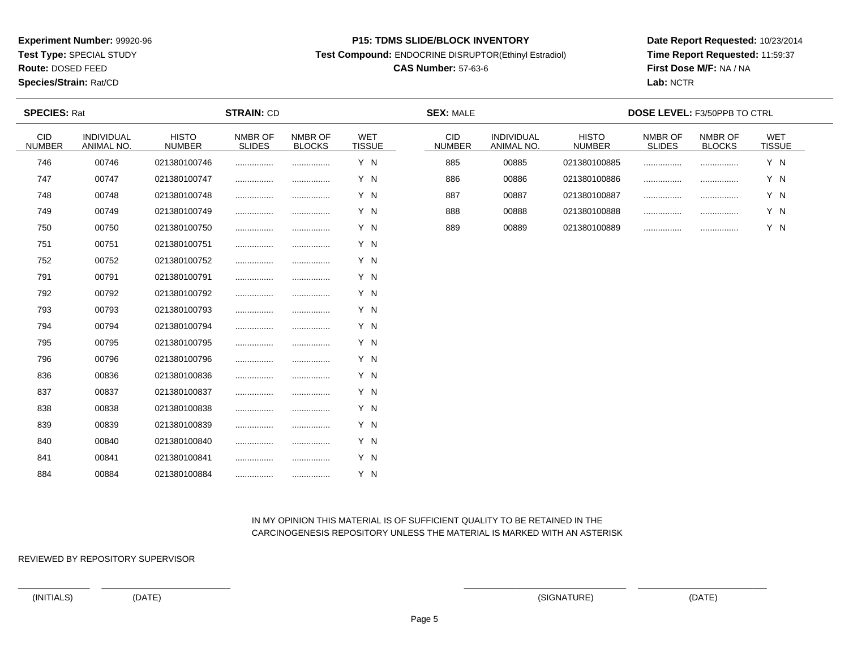**Test Type:** SPECIAL STUDY

**Route:** DOSED FEED

### **Species/Strain:** Rat/CD

### **P15: TDMS SLIDE/BLOCK INVENTORY**

**Test Compound:** ENDOCRINE DISRUPTOR(Ethinyl Estradiol)

# **CAS Number:** 57-63-6

**Date Report Requested:** 10/23/2014**Time Report Requested:** 11:59:37**First Dose M/F:** NA / NA**Lab:** NCTR

| <b>SPECIES: Rat</b>         |                          |                               | <b>STRAIN: CD</b>        |                          |                             | <b>SEX: MALE</b>            |                          | <b>DOSE LEVEL: F3/50PPB TO CTRL</b> |                          |                          |               |  |  |
|-----------------------------|--------------------------|-------------------------------|--------------------------|--------------------------|-----------------------------|-----------------------------|--------------------------|-------------------------------------|--------------------------|--------------------------|---------------|--|--|
| <b>CID</b><br><b>NUMBER</b> | INDIVIDUAL<br>ANIMAL NO. | <b>HISTO</b><br><b>NUMBER</b> | NMBR OF<br><b>SLIDES</b> | NMBR OF<br><b>BLOCKS</b> | <b>WET</b><br><b>TISSUE</b> | <b>CID</b><br><b>NUMBER</b> | INDIVIDUAL<br>ANIMAL NO. | <b>HISTO</b><br><b>NUMBER</b>       | NMBR OF<br><b>SLIDES</b> | NMBR OF<br><b>BLOCKS</b> | WET<br>TISSUE |  |  |
| 746                         | 00746                    | 021380100746                  |                          |                          | Y N                         | 885                         | 00885                    | 021380100885                        | .                        |                          | Y N           |  |  |
| 747                         | 00747                    | 021380100747                  |                          |                          | Y N                         | 886                         | 00886                    | 021380100886                        |                          |                          | Y N           |  |  |
| 748                         | 00748                    | 021380100748                  |                          |                          | Y N                         | 887                         | 00887                    | 021380100887                        |                          |                          | Y N           |  |  |
| 749                         | 00749                    | 021380100749                  |                          |                          | Y N                         | 888                         | 00888                    | 021380100888                        | .                        |                          | Y N           |  |  |
| 750                         | 00750                    | 021380100750                  |                          |                          | Y N                         | 889                         | 00889                    | 021380100889                        | .                        |                          | Y N           |  |  |
| 751                         | 00751                    | 021380100751                  |                          |                          | Y N                         |                             |                          |                                     |                          |                          |               |  |  |
| 752                         | 00752                    | 021380100752                  |                          |                          | Y N                         |                             |                          |                                     |                          |                          |               |  |  |
| 791                         | 00791                    | 021380100791                  |                          |                          | Y N                         |                             |                          |                                     |                          |                          |               |  |  |
| 792                         | 00792                    | 021380100792                  |                          |                          | Y N                         |                             |                          |                                     |                          |                          |               |  |  |
| 793                         | 00793                    | 021380100793                  |                          |                          | Y N                         |                             |                          |                                     |                          |                          |               |  |  |
| 794                         | 00794                    | 021380100794                  |                          |                          | Y N                         |                             |                          |                                     |                          |                          |               |  |  |
| 795                         | 00795                    | 021380100795                  |                          |                          | Y N                         |                             |                          |                                     |                          |                          |               |  |  |
| 796                         | 00796                    | 021380100796                  |                          |                          | Y N                         |                             |                          |                                     |                          |                          |               |  |  |
| 836                         | 00836                    | 021380100836                  |                          |                          | Y N                         |                             |                          |                                     |                          |                          |               |  |  |
| 837                         | 00837                    | 021380100837                  |                          |                          | Y N                         |                             |                          |                                     |                          |                          |               |  |  |
| 838                         | 00838                    | 021380100838                  |                          |                          | Y N                         |                             |                          |                                     |                          |                          |               |  |  |
| 839                         | 00839                    | 021380100839                  |                          |                          | Y N                         |                             |                          |                                     |                          |                          |               |  |  |
| 840                         | 00840                    | 021380100840                  |                          |                          | Y N                         |                             |                          |                                     |                          |                          |               |  |  |
| 841                         | 00841                    | 021380100841                  |                          |                          | Y N                         |                             |                          |                                     |                          |                          |               |  |  |
| 884                         | 00884                    | 021380100884                  |                          |                          | Y N                         |                             |                          |                                     |                          |                          |               |  |  |

 IN MY OPINION THIS MATERIAL IS OF SUFFICIENT QUALITY TO BE RETAINED IN THECARCINOGENESIS REPOSITORY UNLESS THE MATERIAL IS MARKED WITH AN ASTERISK

REVIEWED BY REPOSITORY SUPERVISOR

(INITIALS) (DATE) (SIGNATURE) (DATE)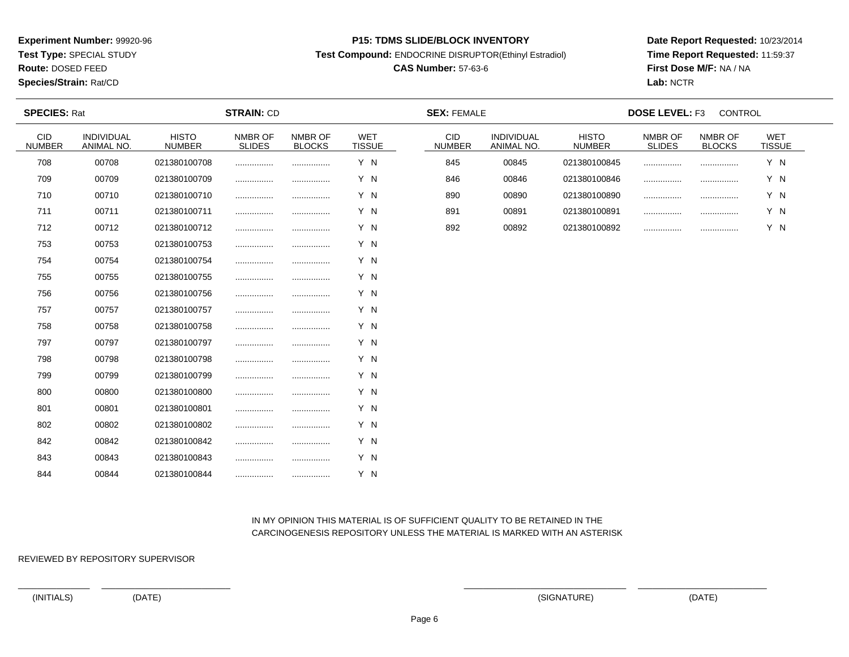**Test Type:** SPECIAL STUDY

**Route:** DOSED FEED

**Species/Strain:** Rat/CD

#### **P15: TDMS SLIDE/BLOCK INVENTORY**

**Test Compound:** ENDOCRINE DISRUPTOR(Ethinyl Estradiol)

# **CAS Number:** 57-63-6

**Date Report Requested:** 10/23/2014**Time Report Requested:** 11:59:37**First Dose M/F:** NA / NA**Lab:** NCTR

| <b>SPECIES: Rat</b>  |                          |                               | <b>STRAIN: CD</b> |                          |                             | <b>SEX: FEMALE</b>          |                          |                               |                          | <b>DOSE LEVEL: F3</b><br><b>CONTROL</b> |                      |  |  |
|----------------------|--------------------------|-------------------------------|-------------------|--------------------------|-----------------------------|-----------------------------|--------------------------|-------------------------------|--------------------------|-----------------------------------------|----------------------|--|--|
| CID<br><b>NUMBER</b> | INDIVIDUAL<br>ANIMAL NO. | <b>HISTO</b><br><b>NUMBER</b> | NMBR OF<br>SLIDES | NMBR OF<br><b>BLOCKS</b> | <b>WET</b><br><b>TISSUE</b> | <b>CID</b><br><b>NUMBER</b> | INDIVIDUAL<br>ANIMAL NO. | <b>HISTO</b><br><b>NUMBER</b> | NMBR OF<br><b>SLIDES</b> | NMBR OF<br><b>BLOCKS</b>                | WET<br><b>TISSUE</b> |  |  |
| 708                  | 00708                    | 021380100708                  |                   |                          | Y N                         | 845                         | 00845                    | 021380100845                  |                          |                                         | Y N                  |  |  |
| 709                  | 00709                    | 021380100709                  |                   |                          | Y N                         | 846                         | 00846                    | 021380100846                  | .                        |                                         | Y N                  |  |  |
| 710                  | 00710                    | 021380100710                  |                   |                          | Y N                         | 890                         | 00890                    | 021380100890                  |                          |                                         | Y N                  |  |  |
| 711                  | 00711                    | 021380100711                  |                   |                          | Y N                         | 891                         | 00891                    | 021380100891                  |                          | .                                       | Y N                  |  |  |
| 712                  | 00712                    | 021380100712                  |                   |                          | Y N                         | 892                         | 00892                    | 021380100892                  | .                        |                                         | Y N                  |  |  |
| 753                  | 00753                    | 021380100753                  | .                 |                          | Y N                         |                             |                          |                               |                          |                                         |                      |  |  |
| 754                  | 00754                    | 021380100754                  |                   |                          | Y N                         |                             |                          |                               |                          |                                         |                      |  |  |
| 755                  | 00755                    | 021380100755                  |                   |                          | Y N                         |                             |                          |                               |                          |                                         |                      |  |  |
| 756                  | 00756                    | 021380100756                  | .                 | .                        | Y N                         |                             |                          |                               |                          |                                         |                      |  |  |
| 757                  | 00757                    | 021380100757                  |                   |                          | Y N                         |                             |                          |                               |                          |                                         |                      |  |  |
| 758                  | 00758                    | 021380100758                  | .                 |                          | Y N                         |                             |                          |                               |                          |                                         |                      |  |  |
| 797                  | 00797                    | 021380100797                  |                   |                          | Y N                         |                             |                          |                               |                          |                                         |                      |  |  |
| 798                  | 00798                    | 021380100798                  | .                 |                          | Y N                         |                             |                          |                               |                          |                                         |                      |  |  |
| 799                  | 00799                    | 021380100799                  |                   |                          | Y N                         |                             |                          |                               |                          |                                         |                      |  |  |
| 800                  | 00800                    | 021380100800                  |                   |                          | Y N                         |                             |                          |                               |                          |                                         |                      |  |  |
| 801                  | 00801                    | 021380100801                  |                   |                          | Y N                         |                             |                          |                               |                          |                                         |                      |  |  |
| 802                  | 00802                    | 021380100802                  |                   |                          | Y N                         |                             |                          |                               |                          |                                         |                      |  |  |
| 842                  | 00842                    | 021380100842                  |                   |                          | Y N                         |                             |                          |                               |                          |                                         |                      |  |  |
| 843                  | 00843                    | 021380100843                  |                   |                          | Y N                         |                             |                          |                               |                          |                                         |                      |  |  |
| 844                  | 00844                    | 021380100844                  |                   |                          | Y N                         |                             |                          |                               |                          |                                         |                      |  |  |

## IN MY OPINION THIS MATERIAL IS OF SUFFICIENT QUALITY TO BE RETAINED IN THECARCINOGENESIS REPOSITORY UNLESS THE MATERIAL IS MARKED WITH AN ASTERISK

REVIEWED BY REPOSITORY SUPERVISOR

(INITIALS) (DATE) (SIGNATURE) (DATE)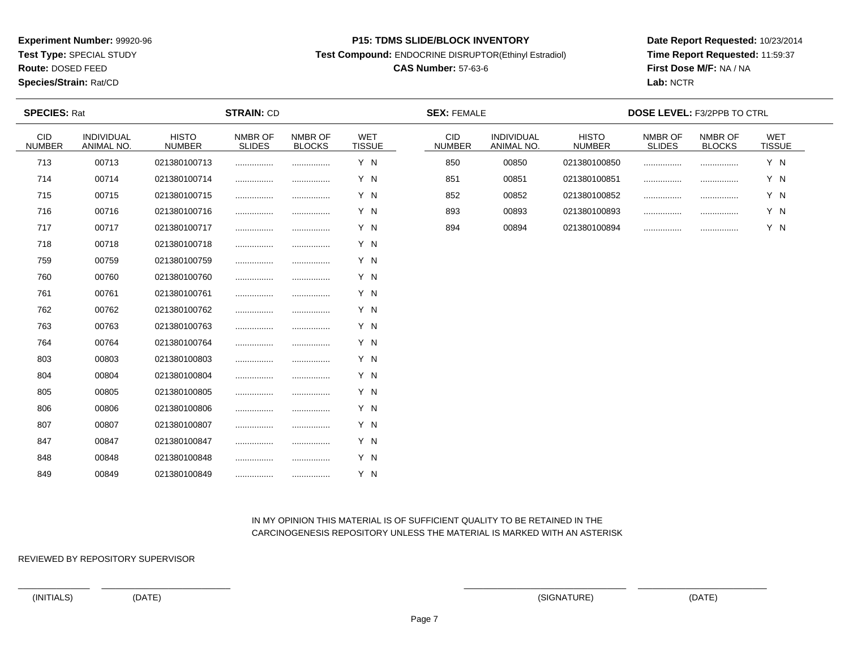**Test Type:** SPECIAL STUDY

**Route:** DOSED FEED

### **Species/Strain:** Rat/CD

### **P15: TDMS SLIDE/BLOCK INVENTORY**

**Test Compound:** ENDOCRINE DISRUPTOR(Ethinyl Estradiol)

# **CAS Number:** 57-63-6

**Date Report Requested:** 10/23/2014**Time Report Requested:** 11:59:37**First Dose M/F:** NA / NA**Lab:** NCTR

| <b>SPECIES: Rat</b>         |                          |                               | <b>STRAIN: CD</b>        |                          |                      | <b>SEX: FEMALE</b>          |                          |                               | DOSE LEVEL: F3/2PPB TO CTRL |                          |               |  |
|-----------------------------|--------------------------|-------------------------------|--------------------------|--------------------------|----------------------|-----------------------------|--------------------------|-------------------------------|-----------------------------|--------------------------|---------------|--|
| <b>CID</b><br><b>NUMBER</b> | INDIVIDUAL<br>ANIMAL NO. | <b>HISTO</b><br><b>NUMBER</b> | NMBR OF<br><b>SLIDES</b> | NMBR OF<br><b>BLOCKS</b> | WET<br><b>TISSUE</b> | <b>CID</b><br><b>NUMBER</b> | INDIVIDUAL<br>ANIMAL NO. | <b>HISTO</b><br><b>NUMBER</b> | NMBR OF<br><b>SLIDES</b>    | NMBR OF<br><b>BLOCKS</b> | WET<br>TISSUE |  |
| 713                         | 00713                    | 021380100713                  |                          |                          | Y N                  | 850                         | 00850                    | 021380100850                  |                             |                          | Y N           |  |
| 714                         | 00714                    | 021380100714                  |                          |                          | Y N                  | 851                         | 00851                    | 021380100851                  |                             |                          | Y N           |  |
| 715                         | 00715                    | 021380100715                  |                          |                          | Y N                  | 852                         | 00852                    | 021380100852                  |                             |                          | Y N           |  |
| 716                         | 00716                    | 021380100716                  |                          |                          | Y N                  | 893                         | 00893                    | 021380100893                  |                             |                          | Y N           |  |
| 717                         | 00717                    | 021380100717                  |                          |                          | Y N                  | 894                         | 00894                    | 021380100894                  |                             |                          | Y N           |  |
| 718                         | 00718                    | 021380100718                  |                          |                          | Y N                  |                             |                          |                               |                             |                          |               |  |
| 759                         | 00759                    | 021380100759                  |                          |                          | Y N                  |                             |                          |                               |                             |                          |               |  |
| 760                         | 00760                    | 021380100760                  |                          |                          | Y N                  |                             |                          |                               |                             |                          |               |  |
| 761                         | 00761                    | 021380100761                  |                          |                          | Y N                  |                             |                          |                               |                             |                          |               |  |
| 762                         | 00762                    | 021380100762                  |                          |                          | Y N                  |                             |                          |                               |                             |                          |               |  |
| 763                         | 00763                    | 021380100763                  |                          |                          | Y N                  |                             |                          |                               |                             |                          |               |  |
| 764                         | 00764                    | 021380100764                  |                          |                          | Y N                  |                             |                          |                               |                             |                          |               |  |
| 803                         | 00803                    | 021380100803                  |                          |                          | Y N                  |                             |                          |                               |                             |                          |               |  |
| 804                         | 00804                    | 021380100804                  |                          |                          | Y N                  |                             |                          |                               |                             |                          |               |  |
| 805                         | 00805                    | 021380100805                  |                          |                          | Y N                  |                             |                          |                               |                             |                          |               |  |
| 806                         | 00806                    | 021380100806                  |                          |                          | Y N                  |                             |                          |                               |                             |                          |               |  |
| 807                         | 00807                    | 021380100807                  |                          |                          | Y N                  |                             |                          |                               |                             |                          |               |  |
| 847                         | 00847                    | 021380100847                  |                          |                          | Y N                  |                             |                          |                               |                             |                          |               |  |
| 848                         | 00848                    | 021380100848                  |                          |                          | Y N                  |                             |                          |                               |                             |                          |               |  |
| 849                         | 00849                    | 021380100849                  |                          |                          | Y N                  |                             |                          |                               |                             |                          |               |  |

## IN MY OPINION THIS MATERIAL IS OF SUFFICIENT QUALITY TO BE RETAINED IN THECARCINOGENESIS REPOSITORY UNLESS THE MATERIAL IS MARKED WITH AN ASTERISK

REVIEWED BY REPOSITORY SUPERVISOR

(INITIALS) (DATE) (SIGNATURE) (DATE)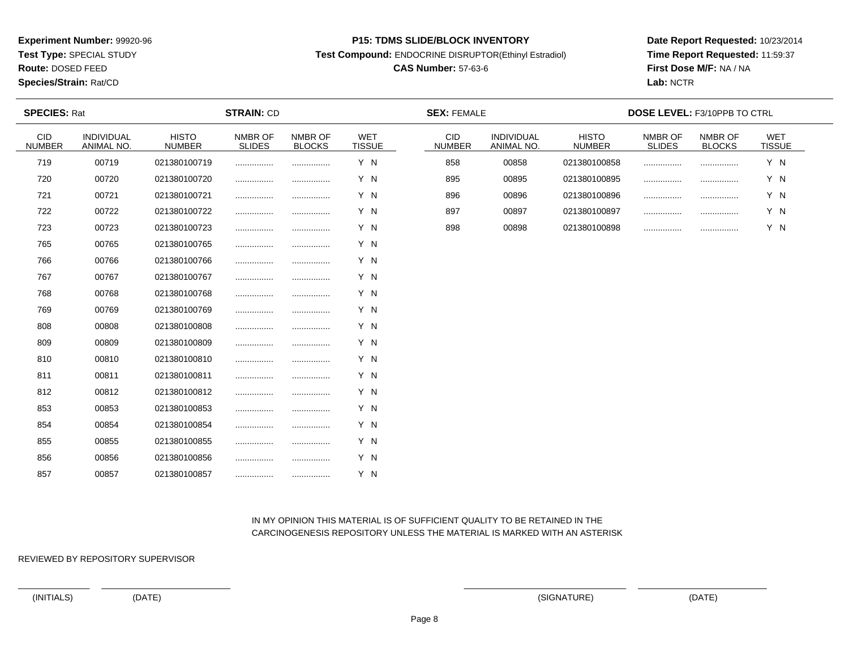**Test Type:** SPECIAL STUDY

**Route:** DOSED FEED

### **Species/Strain:** Rat/CD

### **P15: TDMS SLIDE/BLOCK INVENTORY**

**Test Compound:** ENDOCRINE DISRUPTOR(Ethinyl Estradiol)

# **CAS Number:** 57-63-6

**Date Report Requested:** 10/23/2014**Time Report Requested:** 11:59:37**First Dose M/F:** NA / NA**Lab:** NCTR

| <b>SPECIES: Rat</b>         |                                 |                               | <b>STRAIN: CD</b>        |                          |                             | <b>SEX: FEMALE</b>          |                                 |                               | <b>DOSE LEVEL: F3/10PPB TO CTRL</b> |                          |               |  |
|-----------------------------|---------------------------------|-------------------------------|--------------------------|--------------------------|-----------------------------|-----------------------------|---------------------------------|-------------------------------|-------------------------------------|--------------------------|---------------|--|
| <b>CID</b><br><b>NUMBER</b> | <b>INDIVIDUAL</b><br>ANIMAL NO. | <b>HISTO</b><br><b>NUMBER</b> | NMBR OF<br><b>SLIDES</b> | NMBR OF<br><b>BLOCKS</b> | <b>WET</b><br><b>TISSUE</b> | <b>CID</b><br><b>NUMBER</b> | <b>INDIVIDUAL</b><br>ANIMAL NO. | <b>HISTO</b><br><b>NUMBER</b> | NMBR OF<br><b>SLIDES</b>            | NMBR OF<br><b>BLOCKS</b> | WET<br>TISSUE |  |
| 719                         | 00719                           | 021380100719                  |                          |                          | Y N                         | 858                         | 00858                           | 021380100858                  |                                     |                          | Y N           |  |
| 720                         | 00720                           | 021380100720                  |                          |                          | Y N                         | 895                         | 00895                           | 021380100895                  |                                     |                          | Y N           |  |
| 721                         | 00721                           | 021380100721                  |                          |                          | Y N                         | 896                         | 00896                           | 021380100896                  |                                     |                          | Y N           |  |
| 722                         | 00722                           | 021380100722                  |                          |                          | Y N                         | 897                         | 00897                           | 021380100897                  |                                     |                          | Y N           |  |
| 723                         | 00723                           | 021380100723                  |                          |                          | Y N                         | 898                         | 00898                           | 021380100898                  |                                     |                          | Y N           |  |
| 765                         | 00765                           | 021380100765                  |                          |                          | Y N                         |                             |                                 |                               |                                     |                          |               |  |
| 766                         | 00766                           | 021380100766                  |                          |                          | Y N                         |                             |                                 |                               |                                     |                          |               |  |
| 767                         | 00767                           | 021380100767                  |                          |                          | Y N                         |                             |                                 |                               |                                     |                          |               |  |
| 768                         | 00768                           | 021380100768                  |                          |                          | Y N                         |                             |                                 |                               |                                     |                          |               |  |
| 769                         | 00769                           | 021380100769                  |                          |                          | Y N                         |                             |                                 |                               |                                     |                          |               |  |
| 808                         | 00808                           | 021380100808                  |                          |                          | Y N                         |                             |                                 |                               |                                     |                          |               |  |
| 809                         | 00809                           | 021380100809                  |                          |                          | Y N                         |                             |                                 |                               |                                     |                          |               |  |
| 810                         | 00810                           | 021380100810                  |                          |                          | Y N                         |                             |                                 |                               |                                     |                          |               |  |
| 811                         | 00811                           | 021380100811                  |                          |                          | Y N                         |                             |                                 |                               |                                     |                          |               |  |
| 812                         | 00812                           | 021380100812                  |                          |                          | Y N                         |                             |                                 |                               |                                     |                          |               |  |
| 853                         | 00853                           | 021380100853                  |                          |                          | Y N                         |                             |                                 |                               |                                     |                          |               |  |
| 854                         | 00854                           | 021380100854                  |                          |                          | Y N                         |                             |                                 |                               |                                     |                          |               |  |
| 855                         | 00855                           | 021380100855                  |                          |                          | Y N                         |                             |                                 |                               |                                     |                          |               |  |
| 856                         | 00856                           | 021380100856                  | .                        |                          | Y N                         |                             |                                 |                               |                                     |                          |               |  |
| 857                         | 00857                           | 021380100857                  |                          |                          | Y N                         |                             |                                 |                               |                                     |                          |               |  |

## IN MY OPINION THIS MATERIAL IS OF SUFFICIENT QUALITY TO BE RETAINED IN THECARCINOGENESIS REPOSITORY UNLESS THE MATERIAL IS MARKED WITH AN ASTERISK

REVIEWED BY REPOSITORY SUPERVISOR

(INITIALS) (DATE) (SIGNATURE) (DATE)